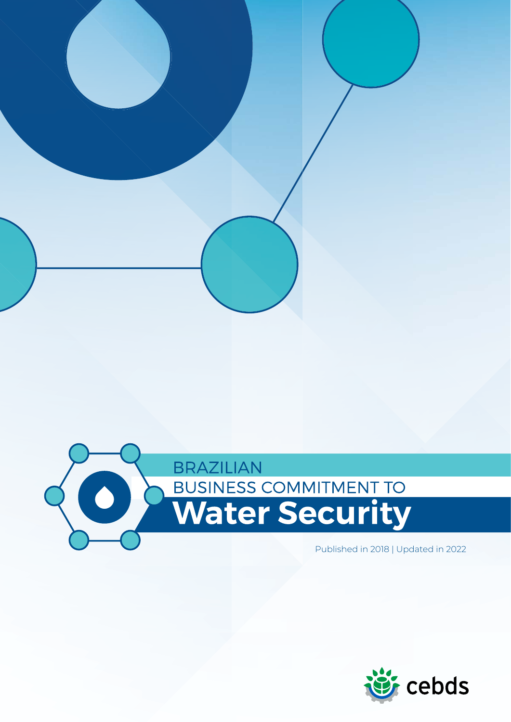

Published in 2018 | Updated in 2022

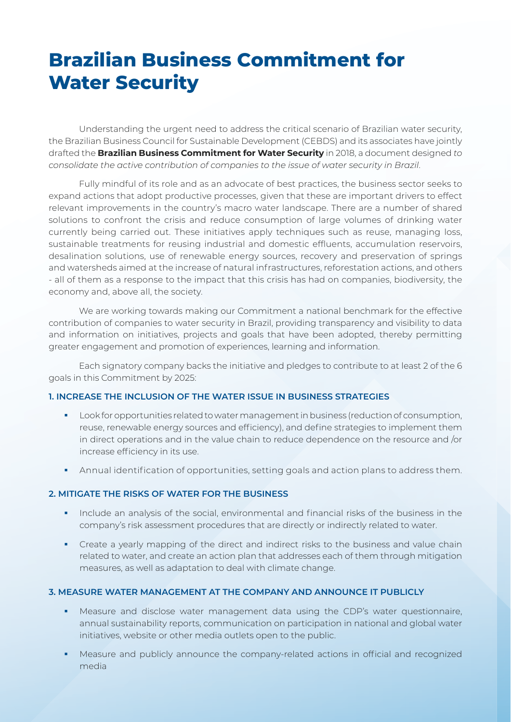# **Brazilian Business Commitment for Water Security**

Understanding the urgent need to address the critical scenario of Brazilian water security, the Brazilian Business Council for Sustainable Development (CEBDS) and its associates have jointly drafted the **Brazilian Business Commitment for Water Security** in 2018, a document designed *to consolidate the active contribution of companies to the issue of water security in Brazil*.

Fully mindful of its role and as an advocate of best practices, the business sector seeks to expand actions that adopt productive processes, given that these are important drivers to effect relevant improvements in the country's macro water landscape. There are a number of shared solutions to confront the crisis and reduce consumption of large volumes of drinking water currently being carried out. These initiatives apply techniques such as reuse, managing loss, sustainable treatments for reusing industrial and domestic effluents, accumulation reservoirs, desalination solutions, use of renewable energy sources, recovery and preservation of springs and watersheds aimed at the increase of natural infrastructures, reforestation actions, and others - all of them as a response to the impact that this crisis has had on companies, biodiversity, the economy and, above all, the society.

We are working towards making our Commitment a national benchmark for the effective contribution of companies to water security in Brazil, providing transparency and visibility to data and information on initiatives, projects and goals that have been adopted, thereby permitting greater engagement and promotion of experiences, learning and information.

Each signatory company backs the initiative and pledges to contribute to at least 2 of the 6 goals in this Commitment by 2025:

## **1. INCREASE THE INCLUSION OF THE WATER ISSUE IN BUSINESS STRATEGIES**

- Look for opportunities related to water management in business (reduction of consumption, reuse, renewable energy sources and efficiency), and define strategies to implement them in direct operations and in the value chain to reduce dependence on the resource and /or increase efficiency in its use.
- Annual identification of opportunities, setting goals and action plans to address them.

## **2. MITIGATE THE RISKS OF WATER FOR THE BUSINESS**

- **Include an analysis of the social, environmental and financial risks of the business in the** company's risk assessment procedures that are directly or indirectly related to water.
- Create a yearly mapping of the direct and indirect risks to the business and value chain related to water, and create an action plan that addresses each of them through mitigation measures, as well as adaptation to deal with climate change.

#### **3. MEASURE WATER MANAGEMENT AT THE COMPANY AND ANNOUNCE IT PUBLICLY**

- Measure and disclose water management data using the CDP's water questionnaire, annual sustainability reports, communication on participation in national and global water initiatives, website or other media outlets open to the public.
- Measure and publicly announce the company-related actions in official and recognized media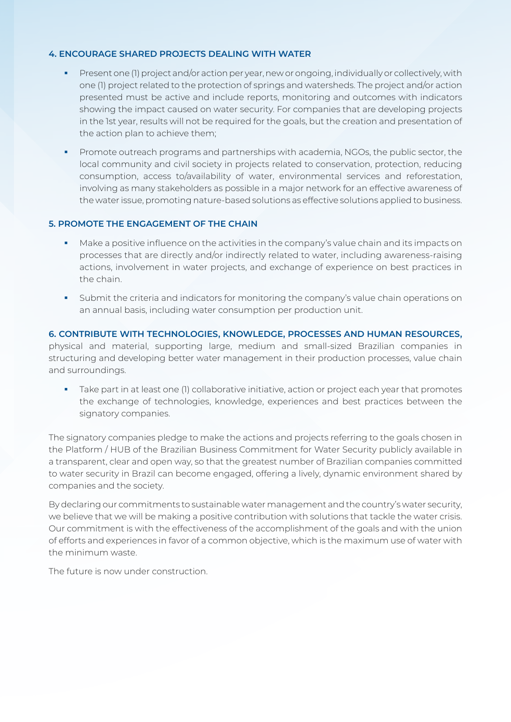### **4. ENCOURAGE SHARED PROJECTS DEALING WITH WATER**

- Present one (1) project and/or action per year, new or ongoing, individually or collectively, with one (1) project related to the protection of springs and watersheds. The project and/or action presented must be active and include reports, monitoring and outcomes with indicators showing the impact caused on water security. For companies that are developing projects in the 1st year, results will not be required for the goals, but the creation and presentation of the action plan to achieve them;
- Promote outreach programs and partnerships with academia, NGOs, the public sector, the local community and civil society in projects related to conservation, protection, reducing consumption, access to/availability of water, environmental services and reforestation, involving as many stakeholders as possible in a major network for an effective awareness of the water issue, promoting nature-based solutions as effective solutions applied to business.

## **5. PROMOTE THE ENGAGEMENT OF THE CHAIN**

- Make a positive influence on the activities in the company's value chain and its impacts on processes that are directly and/or indirectly related to water, including awareness-raising actions, involvement in water projects, and exchange of experience on best practices in the chain.
- Submit the criteria and indicators for monitoring the company's value chain operations on an annual basis, including water consumption per production unit.

## **6. CONTRIBUTE WITH TECHNOLOGIES, KNOWLEDGE, PROCESSES AND HUMAN RESOURCES,**  physical and material, supporting large, medium and small-sized Brazilian companies in structuring and developing better water management in their production processes, value chain and surroundings.

 Take part in at least one (1) collaborative initiative, action or project each year that promotes the exchange of technologies, knowledge, experiences and best practices between the signatory companies.

The signatory companies pledge to make the actions and projects referring to the goals chosen in the Platform / HUB of the Brazilian Business Commitment for Water Security publicly available in a transparent, clear and open way, so that the greatest number of Brazilian companies committed to water security in Brazil can become engaged, offering a lively, dynamic environment shared by companies and the society.

By declaring our commitments to sustainable water management and the country's water security, we believe that we will be making a positive contribution with solutions that tackle the water crisis. Our commitment is with the effectiveness of the accomplishment of the goals and with the union of efforts and experiences in favor of a common objective, which is the maximum use of water with the minimum waste.

The future is now under construction.